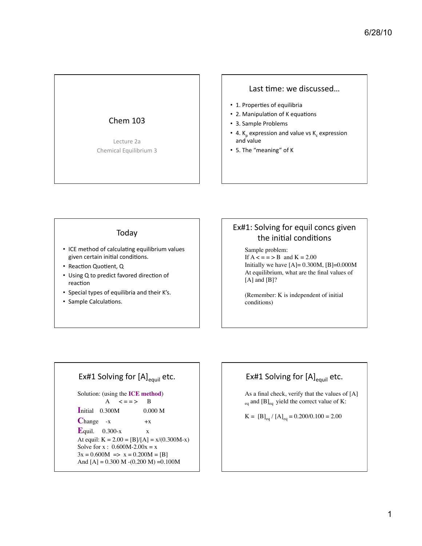# **Chem 103**

Lecture 2a Chemical Equilibrium 3

#### Last time: we discussed...

- 1. Properties of equilibria
- 2. Manipulation of K equations
- 3. Sample Problems
- 4.  $K_p$  expression and value vs  $K_c$  expression and value
- 5. The "meaning" of K

#### Today

- ICE method of calculating equilibrium values given certain initial conditions.
- Reaction Quotient, Q
- Using Q to predict favored direction of reaction
- Special types of equilibria and their K's.
- Sample Calculations.

# Ex#1: Solving for equil concs given the initial conditions

Sample problem: If  $A \leq x = 5$  and  $K = 2.00$ Initially we have  $[A] = 0.300M$ ,  $[B] = 0.000M$ At equilibrium, what are the final values of  $[A]$  and  $[B]$ ?

(Remember: K is independent of initial conditions)

# Ex#1 Solving for [A]<sub>equil</sub> etc.

Solution: (using the ICE method)  $\mathbf{A}$  $\leq$  = = > <sup>B</sup> Initial 0.300M  $0.000 M$  $Change -x$  $+X$ Equil.  $0.300-x$  $\mathbf X$ At equil:  $K = 2.00 = [B]/[A] = x/(0.300M-x)$ Solve for x:  $0.600M - 2.00x = x$  $3x = 0.600M \implies x = 0.200M = [B]$ And  $[A] = 0.300 M - (0.200 M) = 0.100M$ 

# Ex#1 Solving for [A]<sub>equil</sub> etc.

As a final check, verify that the values of [A]  $_{\text{eq}}$  and [B]<sub>eq</sub> yield the correct value of K:

 $K = [B]_{eq} / [A]_{eq} = 0.200/0.100 = 2.00$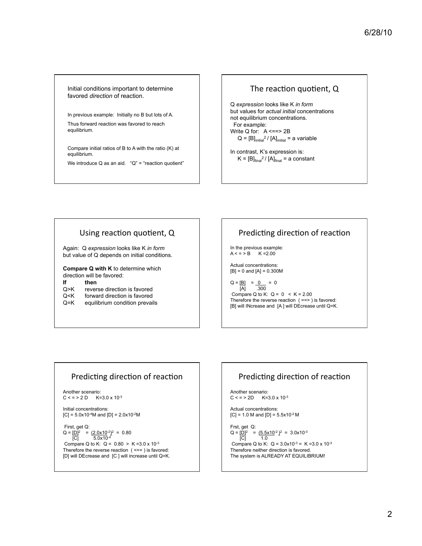Initial conditions important to determine favored *direction* of reaction.

In previous example: Initially no B but lots of A. Thus forward reaction was favored to reach equilibrium.

Compare initial ratios of B to A with the ratio (K) at equilibrium.

We introduce  $Q$  as an aid. " $Q$ " = "reaction quotient"

#### The reaction quotient, Q

Q *expression* looks like K *in form* but values for *actual initial* concentrations not equilibrium concentrations. For example: Write Q for: A <==> 2B  $Q = [B]_{initial}^2 / [A]_{initial} = a$  variable

In contrast, K's expression is:  $K = [B]_{final}^2 / [A]_{final} = a constant$ 

#### Using reaction quotient, Q

Again: Q *expression* looks like K *in form* but value of Q depends on initial conditions.

**Compare Q with K** to determine which direction will be favored:

#### **If then**

- Q>K reverse direction is favored<br>Q<K forward direction is favored
- Q<K forward direction is favored<br>Q=K equilibrium condition prevai equilibrium condition prevails

## Predicting direction of reaction

In the previous example:  $A < = > B$   $K = 2.00$ 

Actual concentrations:  $[B] = 0$  and  $[A] = 0.300M$ 

 $Q = [B] = 0$  = 0 [A] .300 Compare Q to K:  $Q = 0 \le K = 2.00$ Therefore the reverse reaction  $( ==>)$  is favored: [B] will INcrease and [A ] will DEcrease until Q=K.

#### Predicting direction of reaction

Another scenario:  $C \leq z \leq 2D$  K=3.0 x 10<sup>-3</sup>

Initial concentrations:  $[C] = 5.0x10^{-4}$ M and  $[D] = 2.0x10^{-2}$ M

 First, get Q:  $Q = [D]^2$  =  $(2.0 \times 10^{-2})^2$  = 0.80  $[C]$  5.0x10<sup>-4</sup> Compare Q to K:  $Q = 0.80 > K = 3.0 \times 10^{-3}$ Therefore the reverse reaction  $( == )$  is favored: [D] will DEcrease and [C ] will increase until Q=K.

## Predicting direction of reaction

Another scenario:<br> $C < p > 2D$  K=3  $K = 3.0 \times 10^{-3}$ 

Actual concentrations:  $[C] = 1.0 M$  and  $[D] = 5.5x10^{-2} M$ 

Frst, get Q:  $Q = [D]^2$  =  $(5.5 \times 10^{-2})^2$  = 3.0x10<sup>-3</sup> [C] 1.0 Compare Q to K:  $Q = 3.0x10^{-3} = K = 3.0x10^{-3}$ Therefore neither direction is favored. The system is ALREADY AT EQUILIBRIUM!